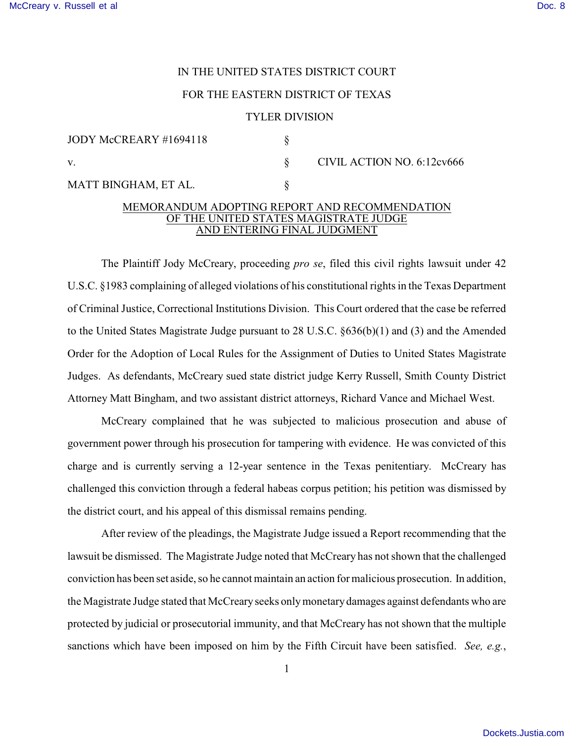# IN THE UNITED STATES DISTRICT COURT

## FOR THE EASTERN DISTRICT OF TEXAS

#### TYLER DIVISION

| JODY McCREARY #1694118 |  | CIVIL ACTION NO. 6:12cv666 |
|------------------------|--|----------------------------|
| V.                     |  |                            |
| MATT BINGHAM, ET AL.   |  |                            |

## MEMORANDUM ADOPTING REPORT AND RECOMMENDATION OF THE UNITED STATES MAGISTRATE JUDGE AND ENTERING FINAL JUDGMENT

The Plaintiff Jody McCreary, proceeding *pro se*, filed this civil rights lawsuit under 42 U.S.C. §1983 complaining of alleged violations of his constitutional rights in the Texas Department of Criminal Justice, Correctional Institutions Division. This Court ordered that the case be referred to the United States Magistrate Judge pursuant to 28 U.S.C. §636(b)(1) and (3) and the Amended Order for the Adoption of Local Rules for the Assignment of Duties to United States Magistrate Judges. As defendants, McCreary sued state district judge Kerry Russell, Smith County District Attorney Matt Bingham, and two assistant district attorneys, Richard Vance and Michael West.

McCreary complained that he was subjected to malicious prosecution and abuse of government power through his prosecution for tampering with evidence. He was convicted of this charge and is currently serving a 12-year sentence in the Texas penitentiary. McCreary has challenged this conviction through a federal habeas corpus petition; his petition was dismissed by the district court, and his appeal of this dismissal remains pending.

After review of the pleadings, the Magistrate Judge issued a Report recommending that the lawsuit be dismissed. The Magistrate Judge noted that McCreary has not shown that the challenged conviction has been set aside, so he cannot maintain an action for malicious prosecution. In addition, the Magistrate Judge stated that McCreary seeks only monetary damages against defendants who are protected by judicial or prosecutorial immunity, and that McCreary has not shown that the multiple sanctions which have been imposed on him by the Fifth Circuit have been satisfied. *See, e.g.*,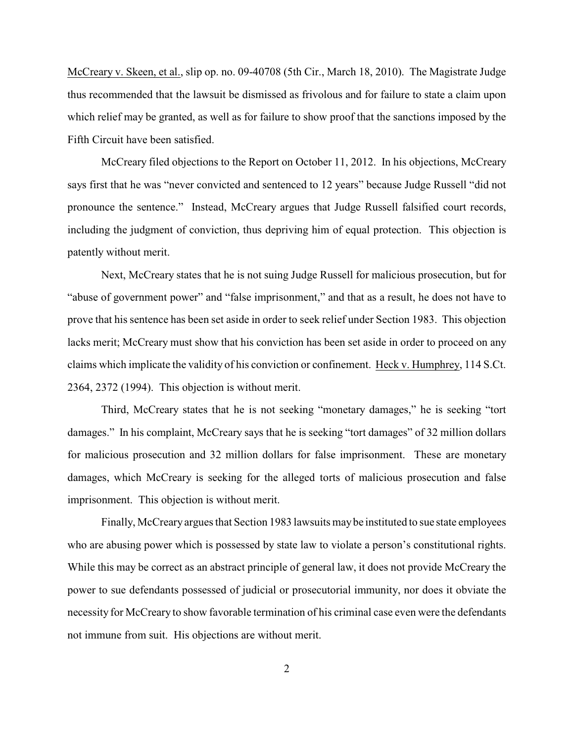McCreary v. Skeen, et al., slip op. no. 09-40708 (5th Cir., March 18, 2010). The Magistrate Judge thus recommended that the lawsuit be dismissed as frivolous and for failure to state a claim upon which relief may be granted, as well as for failure to show proof that the sanctions imposed by the Fifth Circuit have been satisfied.

McCreary filed objections to the Report on October 11, 2012. In his objections, McCreary says first that he was "never convicted and sentenced to 12 years" because Judge Russell "did not pronounce the sentence." Instead, McCreary argues that Judge Russell falsified court records, including the judgment of conviction, thus depriving him of equal protection. This objection is patently without merit.

Next, McCreary states that he is not suing Judge Russell for malicious prosecution, but for "abuse of government power" and "false imprisonment," and that as a result, he does not have to prove that his sentence has been set aside in order to seek relief under Section 1983. This objection lacks merit; McCreary must show that his conviction has been set aside in order to proceed on any claims which implicate the validity of his conviction or confinement. Heck v. Humphrey, 114 S.Ct. 2364, 2372 (1994). This objection is without merit.

Third, McCreary states that he is not seeking "monetary damages," he is seeking "tort damages." In his complaint, McCreary says that he is seeking "tort damages" of 32 million dollars for malicious prosecution and 32 million dollars for false imprisonment. These are monetary damages, which McCreary is seeking for the alleged torts of malicious prosecution and false imprisonment. This objection is without merit.

Finally, McCreary argues that Section 1983 lawsuits may be instituted to sue state employees who are abusing power which is possessed by state law to violate a person's constitutional rights. While this may be correct as an abstract principle of general law, it does not provide McCreary the power to sue defendants possessed of judicial or prosecutorial immunity, nor does it obviate the necessity for McCreary to show favorable termination of his criminal case even were the defendants not immune from suit. His objections are without merit.